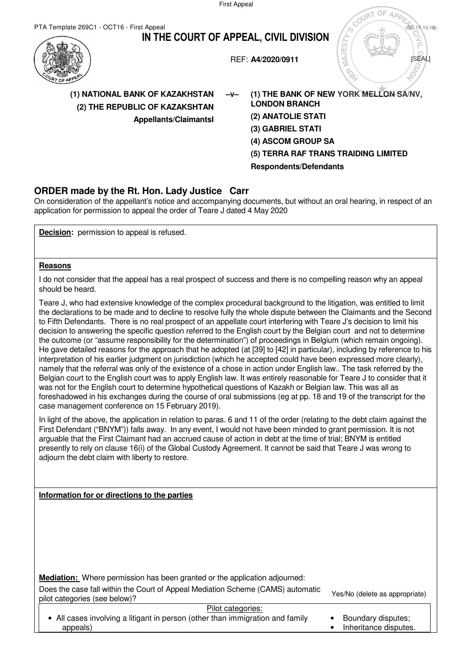First Appeal



On consideration of the appellant's notice and accompanying documents, but without an oral hearing, in respect of an application for permission to appeal the order of Teare J dated 4 May 2020

**Decision:** permission to appeal is refused.

## **Reasons**

I do not consider that the appeal has a real prospect of success and there is no compelling reason why an appeal should be heard.

Teare J, who had extensive knowledge of the complex procedural background to the litigation, was entitled to limit the declarations to be made and to decline to resolve fully the whole dispute between the Claimants and the Second to Fifth Defendants. There is no real prospect of an appellate court interfering with Teare J's decision to limit his decision to answering the specific question referred to the English court by the Belgian court and not to determine the outcome (or "assume responsibility for the determination") of proceedings in Belgium (which remain ongoing). He gave detailed reasons for the approach that he adopted (at [39] to [42] in particular), including by reference to his interpretation of his earlier judgment on jurisdiction (which he accepted could have been expressed more clearly), namely that the referral was only of the existence of a chose in action under English law.. The task referred by the Belgian court to the English court was to apply English law. It was entirely reasonable for Teare J to consider that it was not for the English court to determine hypothetical questions of Kazakh or Belgian law. This was all as foreshadowed in his exchanges during the course of oral submissions (eg at pp. 18 and 19 of the transcript for the case management conference on 15 February 2019).

In light of the above, the application in relation to paras. 6 and 11 of the order (relating to the debt claim against the First Defendant ("BNYM")) falls away. In any event, I would not have been minded to grant permission. It is not arguable that the First Claimant had an accrued cause of action in debt at the time of trial; BNYM is entitled presently to rely on clause 16(i) of the Global Custody Agreement. It cannot be said that Teare J was wrong to adjourn the debt claim with liberty to restore.

## **Information for or directions to the parties**

**Mediation:** Where permission has been granted or the application adjourned:

Does the case fall within the Court of Appeal Mediation Scheme (CAMS) automatic pilot categories (see below)?<br>pilot categories (see below)?

Pilot categories:

• All cases involving a litigant in person (other than immigration and family appeals)

- Boundary disputes;
- Inheritance disputes.